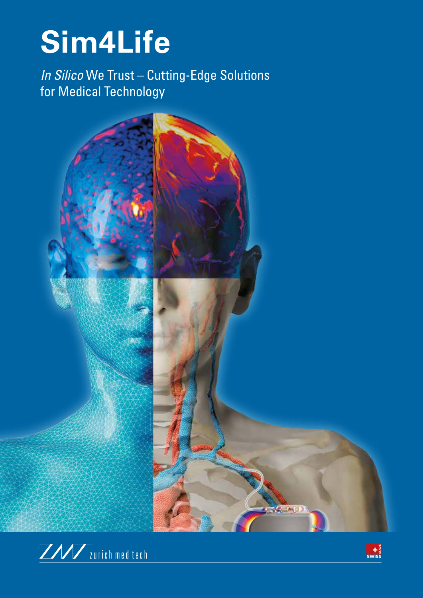## Sim4Life

In Silico We Trust - Cutting-Edge Solutions for Medical Technology